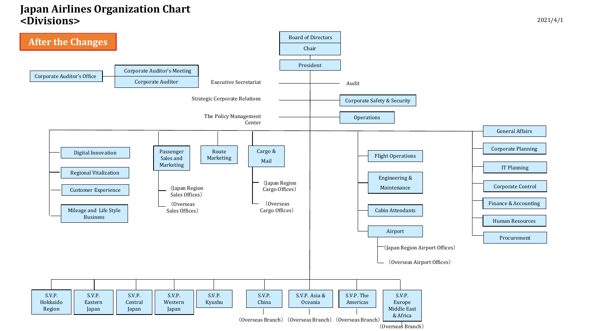## **Japan Airlines Organization Chart <Divisions>**



(Overseas Branch)